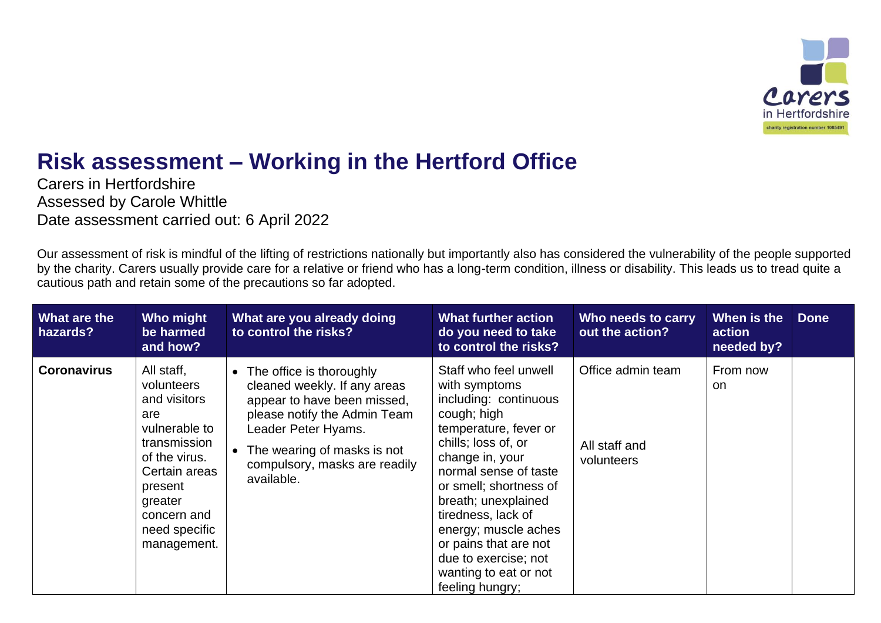

## **Risk assessment – Working in the Hertford Office**

Carers in Hertfordshire Assessed by Carole Whittle Date assessment carried out: 6 April 2022

Our assessment of risk is mindful of the lifting of restrictions nationally but importantly also has considered the vulnerability of the people supported by the charity. Carers usually provide care for a relative or friend who has a long-term condition, illness or disability. This leads us to tread quite a cautious path and retain some of the precautions so far adopted.

| What are the<br>hazards? | Who might<br>be harmed<br>and how?                                                                                                                                                      | What are you already doing<br>to control the risks?                                                                                                                                                                          | <b>What further action</b><br>do you need to take<br>to control the risks?                                                                                                                                                                                                                                                                                             | Who needs to carry<br>out the action?            | When is the<br>action<br>needed by? | <b>Done</b> |
|--------------------------|-----------------------------------------------------------------------------------------------------------------------------------------------------------------------------------------|------------------------------------------------------------------------------------------------------------------------------------------------------------------------------------------------------------------------------|------------------------------------------------------------------------------------------------------------------------------------------------------------------------------------------------------------------------------------------------------------------------------------------------------------------------------------------------------------------------|--------------------------------------------------|-------------------------------------|-------------|
| <b>Coronavirus</b>       | All staff,<br>volunteers<br>and visitors<br>are<br>vulnerable to<br>transmission<br>of the virus.<br>Certain areas<br>present<br>greater<br>concern and<br>need specific<br>management. | The office is thoroughly<br>cleaned weekly. If any areas<br>appear to have been missed,<br>please notify the Admin Team<br>Leader Peter Hyams.<br>The wearing of masks is not<br>compulsory, masks are readily<br>available. | Staff who feel unwell<br>with symptoms<br>including: continuous<br>cough; high<br>temperature, fever or<br>chills; loss of, or<br>change in, your<br>normal sense of taste<br>or smell; shortness of<br>breath; unexplained<br>tiredness, lack of<br>energy; muscle aches<br>or pains that are not<br>due to exercise; not<br>wanting to eat or not<br>feeling hungry; | Office admin team<br>All staff and<br>volunteers | From now<br><b>on</b>               |             |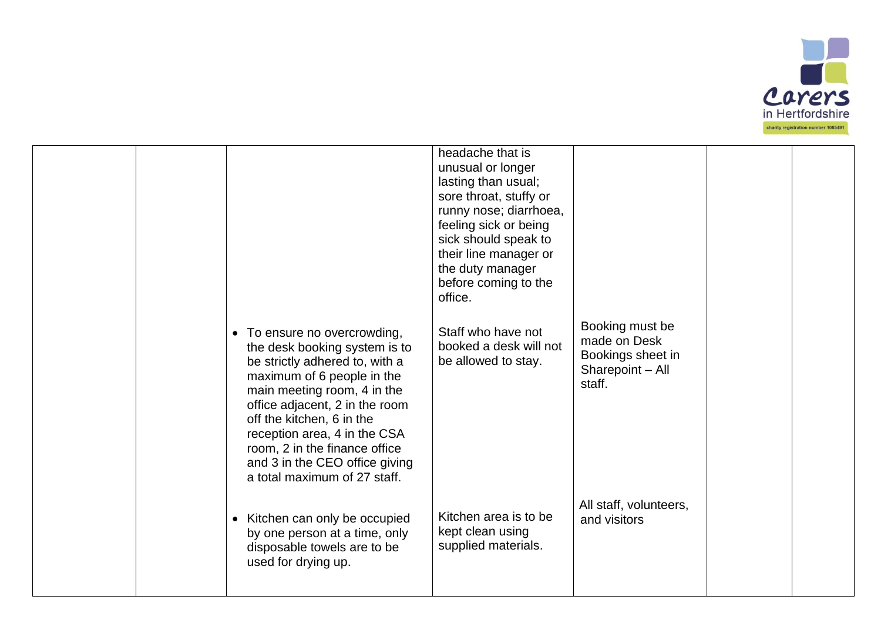

|  | To ensure no overcrowding,<br>$\bullet$<br>the desk booking system is to<br>be strictly adhered to, with a<br>maximum of 6 people in the<br>main meeting room, 4 in the<br>office adjacent, 2 in the room<br>off the kitchen, 6 in the<br>reception area, 4 in the CSA<br>room, 2 in the finance office<br>and 3 in the CEO office giving<br>a total maximum of 27 staff. | headache that is<br>unusual or longer<br>lasting than usual;<br>sore throat, stuffy or<br>runny nose; diarrhoea,<br>feeling sick or being<br>sick should speak to<br>their line manager or<br>the duty manager<br>before coming to the<br>office.<br>Staff who have not<br>booked a desk will not<br>be allowed to stay. | Booking must be<br>made on Desk<br>Bookings sheet in<br>Sharepoint - All<br>staff. |  |
|--|---------------------------------------------------------------------------------------------------------------------------------------------------------------------------------------------------------------------------------------------------------------------------------------------------------------------------------------------------------------------------|--------------------------------------------------------------------------------------------------------------------------------------------------------------------------------------------------------------------------------------------------------------------------------------------------------------------------|------------------------------------------------------------------------------------|--|
|  | Kitchen can only be occupied<br>$\bullet$<br>by one person at a time, only<br>disposable towels are to be<br>used for drying up.                                                                                                                                                                                                                                          | Kitchen area is to be<br>kept clean using<br>supplied materials.                                                                                                                                                                                                                                                         | All staff, volunteers,<br>and visitors                                             |  |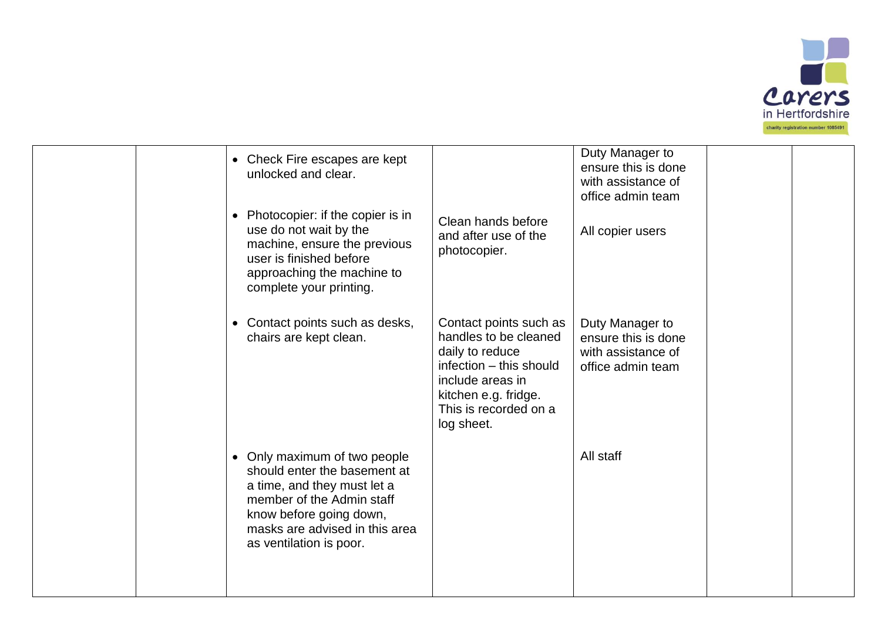

|  | • Check Fire escapes are kept<br>unlocked and clear.                                                                                                                                                             |                                                                                                                                                                                  | Duty Manager to<br>ensure this is done<br>with assistance of<br>office admin team |  |
|--|------------------------------------------------------------------------------------------------------------------------------------------------------------------------------------------------------------------|----------------------------------------------------------------------------------------------------------------------------------------------------------------------------------|-----------------------------------------------------------------------------------|--|
|  | • Photocopier: if the copier is in<br>use do not wait by the<br>machine, ensure the previous<br>user is finished before<br>approaching the machine to<br>complete your printing.                                 | Clean hands before<br>and after use of the<br>photocopier.                                                                                                                       | All copier users                                                                  |  |
|  | • Contact points such as desks,<br>chairs are kept clean.                                                                                                                                                        | Contact points such as<br>handles to be cleaned<br>daily to reduce<br>infection - this should<br>include areas in<br>kitchen e.g. fridge.<br>This is recorded on a<br>log sheet. | Duty Manager to<br>ensure this is done<br>with assistance of<br>office admin team |  |
|  | • Only maximum of two people<br>should enter the basement at<br>a time, and they must let a<br>member of the Admin staff<br>know before going down,<br>masks are advised in this area<br>as ventilation is poor. |                                                                                                                                                                                  | All staff                                                                         |  |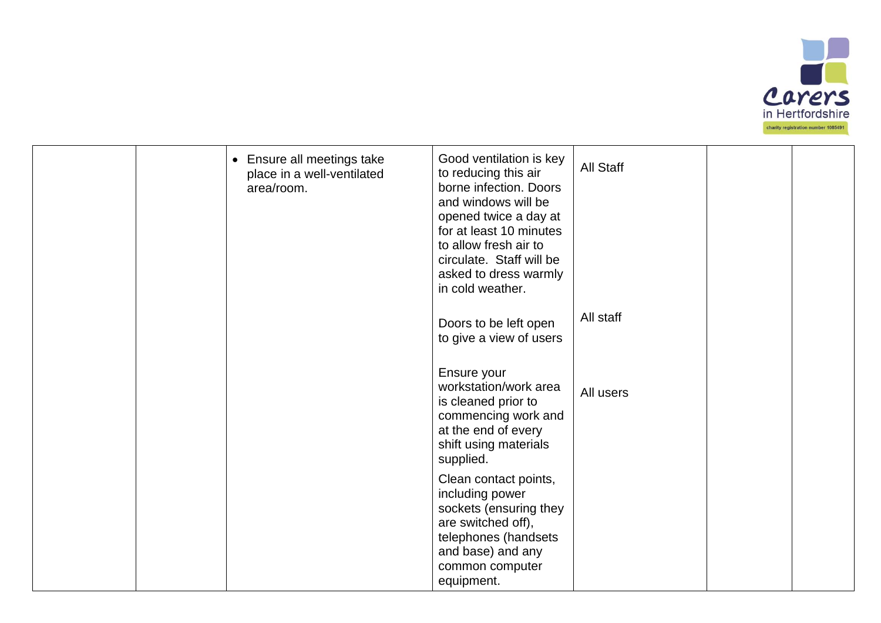

|  | • Ensure all meetings take<br>place in a well-ventilated<br>area/room. | Good ventilation is key<br>to reducing this air<br>borne infection. Doors<br>and windows will be<br>opened twice a day at<br>for at least 10 minutes<br>to allow fresh air to<br>circulate. Staff will be<br>asked to dress warmly<br>in cold weather. | <b>All Staff</b> |  |
|--|------------------------------------------------------------------------|--------------------------------------------------------------------------------------------------------------------------------------------------------------------------------------------------------------------------------------------------------|------------------|--|
|  |                                                                        | Doors to be left open<br>to give a view of users                                                                                                                                                                                                       | All staff        |  |
|  |                                                                        | Ensure your<br>workstation/work area<br>is cleaned prior to<br>commencing work and<br>at the end of every<br>shift using materials<br>supplied.                                                                                                        | All users        |  |
|  |                                                                        | Clean contact points,<br>including power<br>sockets (ensuring they<br>are switched off),<br>telephones (handsets<br>and base) and any<br>common computer<br>equipment.                                                                                 |                  |  |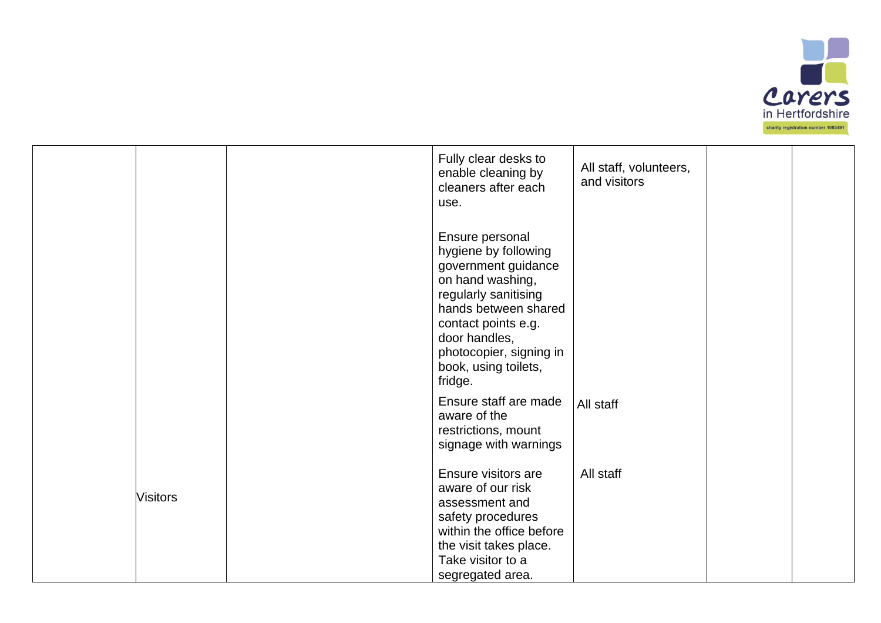

| Fully clear desks to<br>All staff, volunteers,<br>enable cleaning by<br>and visitors<br>cleaners after each<br>use.<br>Ensure personal<br>hygiene by following<br>government guidance<br>on hand washing,<br>regularly sanitising<br>hands between shared<br>contact points e.g.<br>door handles,<br>photocopier, signing in<br>book, using toilets,<br>fridge.<br>Ensure staff are made<br>All staff<br>aware of the<br>restrictions, mount<br>signage with warnings |  |  |  |  |
|-----------------------------------------------------------------------------------------------------------------------------------------------------------------------------------------------------------------------------------------------------------------------------------------------------------------------------------------------------------------------------------------------------------------------------------------------------------------------|--|--|--|--|
|                                                                                                                                                                                                                                                                                                                                                                                                                                                                       |  |  |  |  |
|                                                                                                                                                                                                                                                                                                                                                                                                                                                                       |  |  |  |  |
|                                                                                                                                                                                                                                                                                                                                                                                                                                                                       |  |  |  |  |
| Ensure visitors are<br>All staff<br>aware of our risk<br><b>Visitors</b><br>assessment and<br>safety procedures<br>within the office before<br>the visit takes place.<br>Take visitor to a<br>segregated area.                                                                                                                                                                                                                                                        |  |  |  |  |